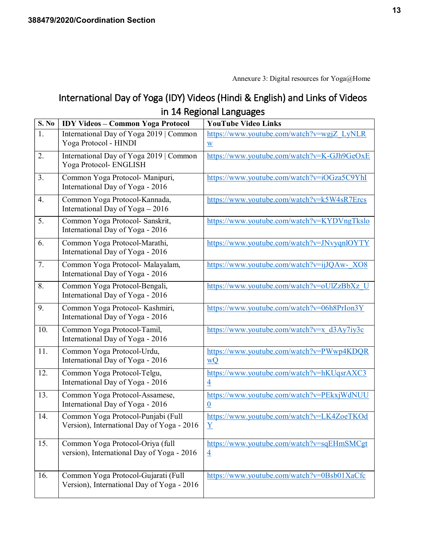## International Day of Yoga (IDY) Videos (Hindi & English) and Links of Videos in 14 Regional Languages

| <b>S. No</b> | <b>IDY Videos - Common Yoga Protocol</b>                                          | <b>YouTube Video Links</b>                                             |
|--------------|-----------------------------------------------------------------------------------|------------------------------------------------------------------------|
| 1.           | International Day of Yoga 2019   Common<br>Yoga Protocol - HINDI                  | https://www.youtube.com/watch?v=wgjZ_LyNLR<br>$\underline{\mathbf{W}}$ |
| 2.           | International Day of Yoga 2019   Common<br>Yoga Protocol- ENGLISH                 | https://www.youtube.com/watch?v=K-GJh9GeOxE                            |
| 3.           | Common Yoga Protocol- Manipuri,<br>International Day of Yoga - 2016               | https://www.youtube.com/watch?v=iOGza5C9YhI                            |
| 4.           | Common Yoga Protocol-Kannada,<br>International Day of Yoga - 2016                 | https://www.youtube.com/watch?v=k5W4sR7Ercs                            |
| 5.           | Common Yoga Protocol- Sanskrit,<br>International Day of Yoga - 2016               | https://www.youtube.com/watch?v=KYDVngTkslo                            |
| 6.           | Common Yoga Protocol-Marathi,<br>International Day of Yoga - 2016                 | https://www.youtube.com/watch?v=JNvyqnlOYTY                            |
| 7.           | Common Yoga Protocol- Malayalam,<br>International Day of Yoga - 2016              | https://www.youtube.com/watch?v=ijJQAw-XO8                             |
| 8.           | Common Yoga Protocol-Bengali,<br>International Day of Yoga - 2016                 | https://www.youtube.com/watch?v=oUlZzBbXz U                            |
| 9.           | Common Yoga Protocol- Kashmiri,<br>International Day of Yoga - 2016               | https://www.youtube.com/watch?v=06h8PrIon3Y                            |
| 10.          | Common Yoga Protocol-Tamil,<br>International Day of Yoga - 2016                   | https://www.youtube.com/watch?v=x_d3Ay7iy3c                            |
| 11.          | Common Yoga Protocol-Urdu,<br>International Day of Yoga - 2016                    | https://www.youtube.com/watch?v=PWwp4KDQR<br>wQ                        |
| 12.          | Common Yoga Protocol-Telgu,<br>International Day of Yoga - 2016                   | https://www.youtube.com/watch?v=hKUqsrAXC3<br>$\overline{4}$           |
| 13.          | Common Yoga Protocol-Assamese,<br>International Day of Yoga - 2016                | https://www.youtube.com/watch?v=PEkxjWdNUU<br>$\underline{0}$          |
| 14.          | Common Yoga Protocol-Punjabi (Full<br>Version), International Day of Yoga - 2016  | https://www.youtube.com/watch?v=LK4ZoeTKOd<br>Y                        |
| 15.          | Common Yoga Protocol-Oriya (full<br>version), International Day of Yoga - 2016    | https://www.youtube.com/watch?v=sqEHmSMCgt<br>$\overline{4}$           |
| 16.          | Common Yoga Protocol-Gujarati (Full<br>Version), International Day of Yoga - 2016 | https://www.youtube.com/watch?v=0Bsb01XaCfc                            |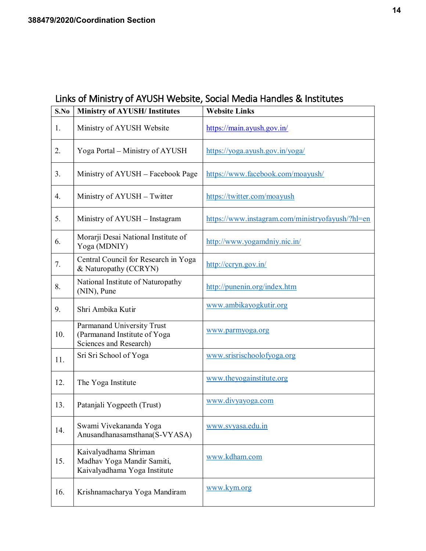## Links of Ministry of AYUSH Website, Social Media Handles & Institutes

| S.No | <b>Ministry of AYUSH/Institutes</b>                                                  | <b>Website Links</b>                             |
|------|--------------------------------------------------------------------------------------|--------------------------------------------------|
| 1.   | Ministry of AYUSH Website                                                            | https://main.ayush.gov.in/                       |
| 2.   | Yoga Portal - Ministry of AYUSH                                                      | https://yoga.ayush.gov.in/yoga/                  |
| 3.   | Ministry of AYUSH - Facebook Page                                                    | https://www.facebook.com/moayush/                |
| 4.   | Ministry of AYUSH - Twitter                                                          | https://twitter.com/moayush                      |
| 5.   | Ministry of AYUSH - Instagram                                                        | https://www.instagram.com/ministryofayush/?hl=en |
| 6.   | Morarji Desai National Institute of<br>Yoga (MDNIY)                                  | http://www.yogamdniy.nic.in/                     |
| 7.   | Central Council for Research in Yoga<br>& Naturopathy (CCRYN)                        | http://ccryn.gov.in/                             |
| 8.   | National Institute of Naturopathy<br>(NIN), Pune                                     | http://punenin.org/index.htm                     |
| 9.   | Shri Ambika Kutir                                                                    | www.ambikayogkutir.org                           |
| 10.  | Parmanand University Trust<br>(Parmanand Institute of Yoga<br>Sciences and Research) | www.parmyoga.org                                 |
| 11.  | Sri Sri School of Yoga                                                               | www.srisrischoolofyoga.org                       |
| 12.  | The Yoga Institute                                                                   | www.theyogainstitute.org                         |
| 13.  | Patanjali Yogpeeth (Trust)                                                           | www.divyayoga.com                                |
| 14.  | Swami Vivekananda Yoga<br>Anusandhanasamsthana(S-VYASA)                              | www.svyasa.edu.in                                |
| 15.  | Kaivalyadhama Shriman<br>Madhav Yoga Mandir Samiti,<br>Kaivalyadhama Yoga Institute  | www.kdham.com                                    |
| 16.  | Krishnamacharya Yoga Mandiram                                                        | www.kym.org                                      |